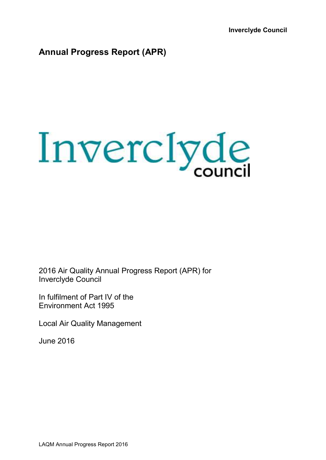**Inverclyde Council** 

## **Annual Progress Report (APR)**



2016 Air Quality Annual Progress Report (APR) for Inverclyde Council

In fulfilment of Part IV of the Environment Act 1995

Local Air Quality Management

June 2016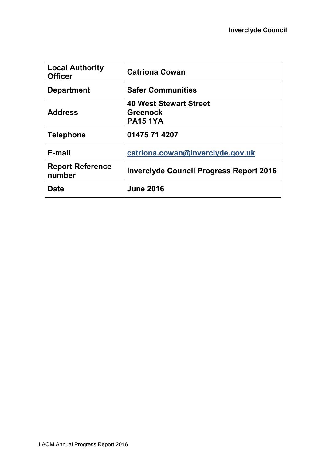| <b>Local Authority</b><br><b>Officer</b> | <b>Catriona Cowan</b>                                               |
|------------------------------------------|---------------------------------------------------------------------|
| <b>Department</b>                        | <b>Safer Communities</b>                                            |
| <b>Address</b>                           | <b>40 West Stewart Street</b><br><b>Greenock</b><br><b>PA15 1YA</b> |
| <b>Telephone</b>                         | 01475 71 4207                                                       |
| E-mail                                   | catriona.cowan@inverclyde.gov.uk                                    |
| <b>Report Reference</b><br>number        | <b>Inverclyde Council Progress Report 2016</b>                      |
| <b>Date</b>                              | <b>June 2016</b>                                                    |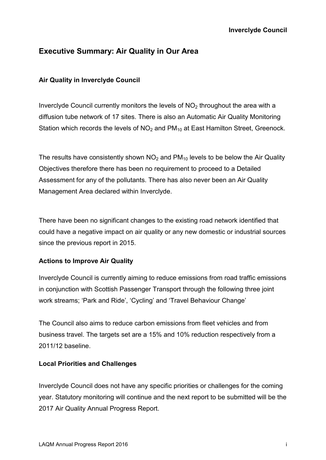## **Executive Summary: Air Quality in Our Area**

### **Air Quality in Inverclyde Council**

Inverclyde Council currently monitors the levels of  $NO<sub>2</sub>$  throughout the area with a diffusion tube network of 17 sites. There is also an Automatic Air Quality Monitoring Station which records the levels of  $NO<sub>2</sub>$  and  $PM<sub>10</sub>$  at East Hamilton Street, Greenock.

The results have consistently shown  $NO<sub>2</sub>$  and PM<sub>10</sub> levels to be below the Air Quality Objectives therefore there has been no requirement to proceed to a Detailed Assessment for any of the pollutants. There has also never been an Air Quality Management Area declared within Inverclyde.

There have been no significant changes to the existing road network identified that could have a negative impact on air quality or any new domestic or industrial sources since the previous report in 2015.

### **Actions to Improve Air Quality**

Inverclyde Council is currently aiming to reduce emissions from road traffic emissions in conjunction with Scottish Passenger Transport through the following three joint work streams; 'Park and Ride', 'Cycling' and 'Travel Behaviour Change'

The Council also aims to reduce carbon emissions from fleet vehicles and from business travel. The targets set are a 15% and 10% reduction respectively from a 2011/12 baseline.

### **Local Priorities and Challenges**

Inverclyde Council does not have any specific priorities or challenges for the coming year. Statutory monitoring will continue and the next report to be submitted will be the 2017 Air Quality Annual Progress Report.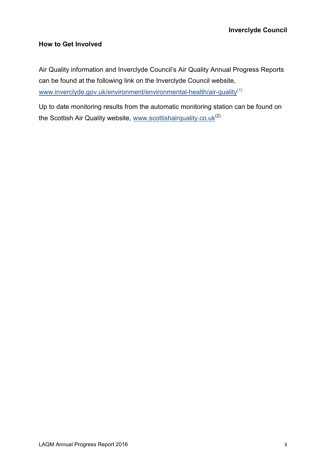### **How to Get Involved**

Air Quality information and Inverclyde Council's Air Quality Annual Progress Reports can be found at the following link on the Inverclyde Council website, www.inverclyde.gov.uk/environment/environmental-health/air-quality(1)

Up to date monitoring results from the automatic monitoring station can be found on the Scottish Air Quality website, www.scottishairquality.co.uk<sup>(2)</sup>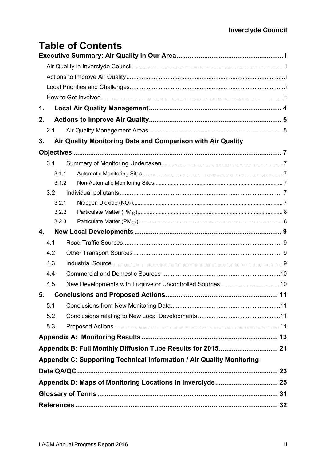# **Table of Contents**

| 1. |     |       |                                                                       |  |
|----|-----|-------|-----------------------------------------------------------------------|--|
| 2. |     |       |                                                                       |  |
|    | 2.1 |       |                                                                       |  |
| 3. |     |       | Air Quality Monitoring Data and Comparison with Air Quality           |  |
|    |     |       |                                                                       |  |
|    | 3.1 |       |                                                                       |  |
|    |     | 3.1.1 |                                                                       |  |
|    |     | 3.1.2 |                                                                       |  |
|    | 3.2 |       |                                                                       |  |
|    |     | 3.2.1 |                                                                       |  |
|    |     | 3.2.2 |                                                                       |  |
|    |     | 3.2.3 |                                                                       |  |
| 4. |     |       |                                                                       |  |
|    | 4.1 |       |                                                                       |  |
|    | 4.2 |       |                                                                       |  |
|    | 4.3 |       |                                                                       |  |
|    | 4.4 |       |                                                                       |  |
|    | 4.5 |       |                                                                       |  |
|    |     |       |                                                                       |  |
|    | 5.1 |       |                                                                       |  |
|    | 5.2 |       |                                                                       |  |
|    | 5.3 |       |                                                                       |  |
|    |     |       |                                                                       |  |
|    |     |       | Appendix B: Full Monthly Diffusion Tube Results for 2015 21           |  |
|    |     |       | Appendix C: Supporting Technical Information / Air Quality Monitoring |  |
|    |     |       |                                                                       |  |
|    |     |       | Appendix D: Maps of Monitoring Locations in Inverclyde 25             |  |
|    |     |       |                                                                       |  |
|    |     |       |                                                                       |  |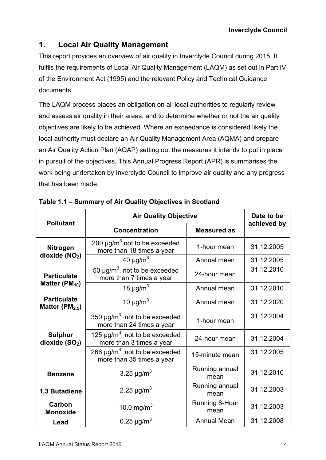### **1. Local Air Quality Management**

This report provides an overview of air quality in Inverclyde Council during 2015. It fulfils the requirements of Local Air Quality Management (LAQM) as set out in Part IV of the Environment Act (1995) and the relevant Policy and Technical Guidance documents.

The LAQM process places an obligation on all local authorities to regularly review and assess air quality in their areas, and to determine whether or not the air quality objectives are likely to be achieved. Where an exceedance is considered likely the local authority must declare an Air Quality Management Area (AQMA) and prepare an Air Quality Action Plan (AQAP) setting out the measures it intends to put in place in pursuit of the objectives. This Annual Progress Report (APR) is summarises the work being undertaken by Inverclyde Council to improve air quality and any progress that has been made.

| <b>Pollutant</b>                          | <b>Air Quality Objective</b>                                                 |                        | Date to be  |
|-------------------------------------------|------------------------------------------------------------------------------|------------------------|-------------|
|                                           | <b>Concentration</b>                                                         | <b>Measured as</b>     | achieved by |
| <b>Nitrogen</b>                           | 200 $\mu$ g/m <sup>3</sup> not to be exceeded<br>more than 18 times a year   | 1-hour mean            | 31.12.2005  |
| dioxide (NO <sub>2</sub> )                | 40 $\mu$ g/m <sup>3</sup>                                                    | Annual mean            | 31.12.2005  |
| <b>Particulate</b>                        | 50 $\mu$ g/m <sup>3</sup> , not to be exceeded<br>more than 7 times a year   | 24-hour mean           | 31.12.2010  |
| Matter ( $PM_{10}$ )                      | 18 $\mu$ g/m <sup>3</sup>                                                    | Annual mean            | 31.12.2010  |
| <b>Particulate</b><br>Matter $(PM_{2.5})$ | 10 $\mu$ g/m <sup>3</sup><br>Annual mean                                     |                        | 31.12.2020  |
|                                           | 350 $\mu$ g/m <sup>3</sup> , not to be exceeded<br>more than 24 times a year | 1-hour mean            | 31.12.2004  |
| <b>Sulphur</b><br>dioxide $(SO2)$         | 125 $\mu$ g/m <sup>3</sup> , not to be exceeded<br>more than 3 times a year  | 24-hour mean           | 31.12.2004  |
|                                           | 266 $\mu$ g/m <sup>3</sup> , not to be exceeded<br>more than 35 times a year | 15-minute mean         | 31.12.2005  |
| <b>Benzene</b>                            | 3.25 $\mu$ g/m <sup>3</sup>                                                  | Running annual<br>mean | 31.12.2010  |
| 1,3 Butadiene                             | 2.25 $\mu$ g/m <sup>3</sup>                                                  | Running annual<br>mean | 31.12.2003  |
| Carbon<br><b>Monoxide</b>                 | 10.0 mg/m <sup>3</sup>                                                       | Running 8-Hour<br>mean | 31.12.2003  |
| Lead                                      | 0.25 $\mu$ g/m <sup>3</sup>                                                  | <b>Annual Mean</b>     | 31.12.2008  |

| Table 1.1 - Summary of Air Quality Objectives in Scotland |  |  |  |
|-----------------------------------------------------------|--|--|--|
|-----------------------------------------------------------|--|--|--|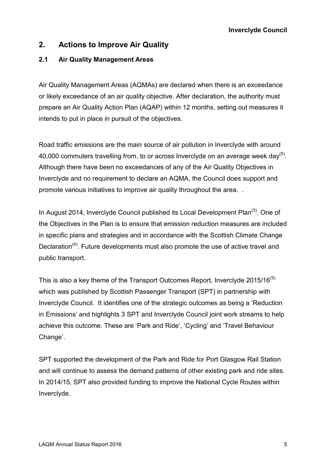### **2. Actions to Improve Air Quality**

### **2.1 Air Quality Management Areas**

Air Quality Management Areas (AQMAs) are declared when there is an exceedance or likely exceedance of an air quality objective. After declaration, the authority must prepare an Air Quality Action Plan (AQAP) within 12 months, setting out measures it intends to put in place in pursuit of the objectives.

Road traffic emissions are the main source of air pollution in Inverclyde with around 40,000 commuters travelling from, to or across Inverclyde on an average week day<sup>(5)</sup>. Although there have been no exceedances of any of the Air Quality Objectives in Inverclyde and no requirement to declare an AQMA, the Council does support and promote various initiatives to improve air quality throughout the area. .

In August 2014, Inverclyde Council published its Local Development Plan $^{(3)}$ . One of the Objectives in the Plan is to ensure that emission reduction measures are included in specific plans and strategies and in accordance with the Scottish Climate Change Declaration<sup> $(4)$ </sup>. Future developments must also promote the use of active travel and public transport.

This is also a key theme of the Transport Outcomes Report, Inverclyde 2015/16 $(5)$ which was published by Scottish Passenger Transport (SPT) in partnership with Inverclyde Council. It identifies one of the strategic outcomes as being a 'Reduction in Emissions' and highlights 3 SPT and Inverclyde Council joint work streams to help achieve this outcome. These are 'Park and Ride', 'Cycling' and 'Travel Behaviour Change'.

SPT supported the development of the Park and Ride for Port Glasgow Rail Station and will continue to assess the demand patterns of other existing park and ride sites. In 2014/15, SPT also provided funding to improve the National Cycle Routes within Inverclyde.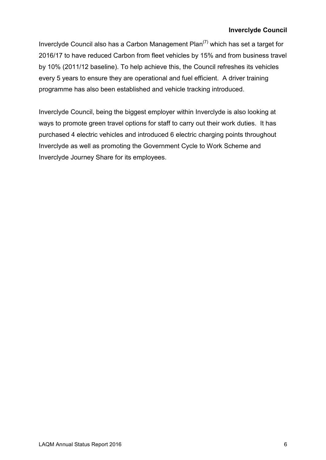### **Inverclyde Council**

Inverclyde Council also has a Carbon Management Plan $(7)$  which has set a target for 2016/17 to have reduced Carbon from fleet vehicles by 15% and from business travel by 10% (2011/12 baseline). To help achieve this, the Council refreshes its vehicles every 5 years to ensure they are operational and fuel efficient. A driver training programme has also been established and vehicle tracking introduced.

Inverclyde Council, being the biggest employer within Inverclyde is also looking at ways to promote green travel options for staff to carry out their work duties. It has purchased 4 electric vehicles and introduced 6 electric charging points throughout Inverclyde as well as promoting the Government Cycle to Work Scheme and Inverclyde Journey Share for its employees.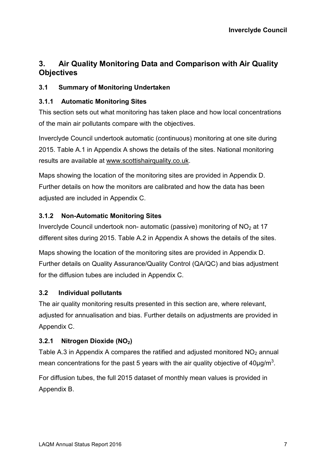## **3. Air Quality Monitoring Data and Comparison with Air Quality Objectives**

### **3.1 Summary of Monitoring Undertaken**

### **3.1.1 Automatic Monitoring Sites**

This section sets out what monitoring has taken place and how local concentrations of the main air pollutants compare with the objectives.

Inverclyde Council undertook automatic (continuous) monitoring at one site during 2015. Table A.1 in Appendix A shows the details of the sites. National monitoring results are available at www.scottishairquality.co.uk.

Maps showing the location of the monitoring sites are provided in Appendix D. Further details on how the monitors are calibrated and how the data has been adjusted are included in Appendix C.

### **3.1.2 Non-Automatic Monitoring Sites**

Inverclyde Council undertook non- automatic (passive) monitoring of  $NO<sub>2</sub>$  at 17 different sites during 2015. Table A.2 in Appendix A shows the details of the sites.

Maps showing the location of the monitoring sites are provided in Appendix D. Further details on Quality Assurance/Quality Control (QA/QC) and bias adjustment for the diffusion tubes are included in Appendix C.

### **3.2 Individual pollutants**

The air quality monitoring results presented in this section are, where relevant, adjusted for annualisation and bias. Further details on adjustments are provided in Appendix C.

### **3.2.1 Nitrogen Dioxide (NO2)**

Table A.3 in Appendix A compares the ratified and adjusted monitored  $NO<sub>2</sub>$  annual mean concentrations for the past 5 years with the air quality objective of  $40 \mu g/m^3$ .

For diffusion tubes, the full 2015 dataset of monthly mean values is provided in Appendix B.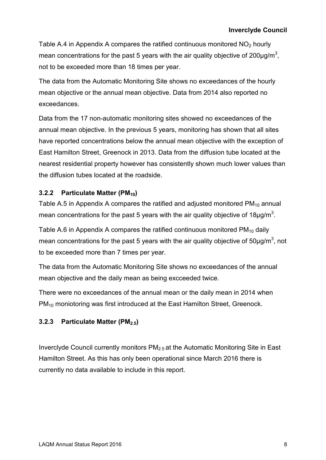Table A.4 in Appendix A compares the ratified continuous monitored  $NO<sub>2</sub>$  hourly mean concentrations for the past 5 years with the air quality objective of 200 $\mu$ g/m<sup>3</sup>, not to be exceeded more than 18 times per year.

The data from the Automatic Monitoring Site shows no exceedances of the hourly mean objective or the annual mean objective. Data from 2014 also reported no exceedances.

Data from the 17 non-automatic monitoring sites showed no exceedances of the annual mean objective. In the previous 5 years, monitoring has shown that all sites have reported concentrations below the annual mean objective with the exception of East Hamilton Street, Greenock in 2013. Data from the diffusion tube located at the nearest residential property however has consistently shown much lower values than the diffusion tubes located at the roadside.

### **3.2.2 Particulate Matter (PM10)**

Table A.5 in Appendix A compares the ratified and adjusted monitored  $PM_{10}$  annual mean concentrations for the past 5 years with the air quality objective of 18 $\mu$ g/m<sup>3</sup>.

Table A.6 in Appendix A compares the ratified continuous monitored  $PM_{10}$  daily mean concentrations for the past 5 years with the air quality objective of 50 $\mu$ g/m<sup>3</sup>, not to be exceeded more than 7 times per year.

The data from the Automatic Monitoring Site shows no exceedances of the annual mean objective and the daily mean as being excceeded twice.

There were no exceedances of the annual mean or the daily mean in 2014 when PM<sub>10</sub> moniotoring was first introduced at the East Hamilton Street, Greenock.

### **3.2.3 Particulate Matter (PM2.5)**

Inverclyde Council currently monitors PM2.5 at the Automatic Monitoring Site in East Hamilton Street. As this has only been operational since March 2016 there is currently no data available to include in this report.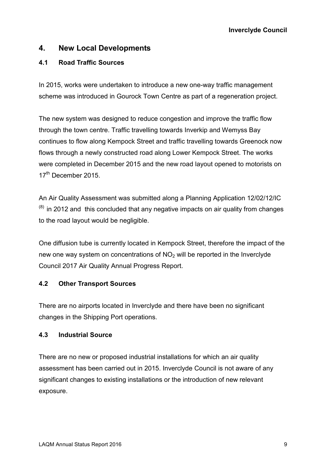### **4. New Local Developments**

### **4.1 Road Traffic Sources**

In 2015, works were undertaken to introduce a new one-way traffic management scheme was introduced in Gourock Town Centre as part of a regeneration project.

The new system was designed to reduce congestion and improve the traffic flow through the town centre. Traffic travelling towards Inverkip and Wemyss Bay continues to flow along Kempock Street and traffic travelling towards Greenock now flows through a newly constructed road along Lower Kempock Street. The works were completed in December 2015 and the new road layout opened to motorists on 17<sup>th</sup> December 2015.

An Air Quality Assessment was submitted along a Planning Application 12/02/12/IC  $<sup>(8)</sup>$  in 2012 and this concluded that any negative impacts on air quality from changes</sup> to the road layout would be negligible.

One diffusion tube is currently located in Kempock Street, therefore the impact of the new one way system on concentrations of  $NO<sub>2</sub>$  will be reported in the Inverclyde Council 2017 Air Quality Annual Progress Report.

### **4.2 Other Transport Sources**

There are no airports located in Inverclyde and there have been no significant changes in the Shipping Port operations.

### **4.3 Industrial Source**

There are no new or proposed industrial installations for which an air quality assessment has been carried out in 2015. Inverclyde Council is not aware of any significant changes to existing installations or the introduction of new relevant exposure.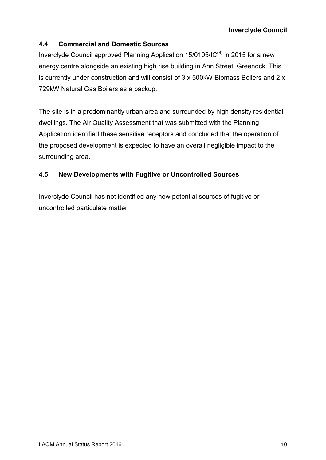### **4.4 Commercial and Domestic Sources**

Inverclyde Council approved Planning Application 15/0105/IC<sup>(9)</sup> in 2015 for a new energy centre alongside an existing high rise building in Ann Street, Greenock. This is currently under construction and will consist of 3 x 500kW Biomass Boilers and 2 x 729kW Natural Gas Boilers as a backup.

The site is in a predominantly urban area and surrounded by high density residential dwellings. The Air Quality Assessment that was submitted with the Planning Application identified these sensitive receptors and concluded that the operation of the proposed development is expected to have an overall negligible impact to the surrounding area.

### **4.5 New Developments with Fugitive or Uncontrolled Sources**

Inverclyde Council has not identified any new potential sources of fugitive or uncontrolled particulate matter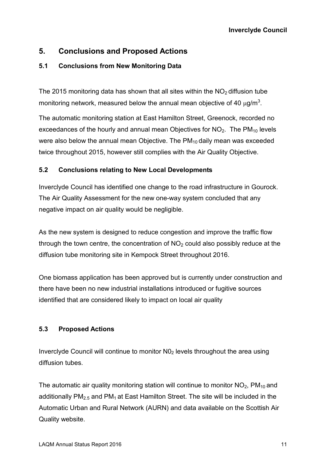### **5. Conclusions and Proposed Actions**

### **5.1 Conclusions from New Monitoring Data**

The 2015 monitoring data has shown that all sites within the  $NO<sub>2</sub>$  diffusion tube monitoring network, measured below the annual mean objective of 40  $\mu$ g/m<sup>3</sup>.

The automatic monitoring station at East Hamilton Street, Greenock, recorded no exceedances of the hourly and annual mean Objectives for  $NO<sub>2</sub>$ . The  $PM<sub>10</sub>$  levels were also below the annual mean Objective. The PM<sub>10</sub> daily mean was exceeded twice throughout 2015, however still complies with the Air Quality Objective.

### **5.2 Conclusions relating to New Local Developments**

Inverclyde Council has identified one change to the road infrastructure in Gourock. The Air Quality Assessment for the new one-way system concluded that any negative impact on air quality would be negligible.

As the new system is designed to reduce congestion and improve the traffic flow through the town centre, the concentration of  $NO<sub>2</sub>$  could also possibly reduce at the diffusion tube monitoring site in Kempock Street throughout 2016.

One biomass application has been approved but is currently under construction and there have been no new industrial installations introduced or fugitive sources identified that are considered likely to impact on local air quality

### **5.3 Proposed Actions**

Inverclyde Council will continue to monitor N02 levels throughout the area using diffusion tubes.

The automatic air quality monitoring station will continue to monitor  $NO<sub>2</sub>$ , PM<sub>10</sub> and additionally  $PM<sub>2.5</sub>$  and  $PM<sub>1</sub>$  at East Hamilton Street. The site will be included in the Automatic Urban and Rural Network (AURN) and data available on the Scottish Air Quality website.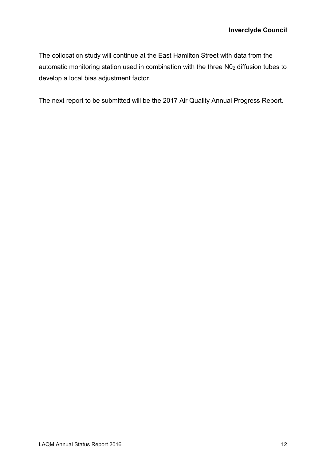The collocation study will continue at the East Hamilton Street with data from the automatic monitoring station used in combination with the three  $NO<sub>2</sub>$  diffusion tubes to develop a local bias adjustment factor.

The next report to be submitted will be the 2017 Air Quality Annual Progress Report.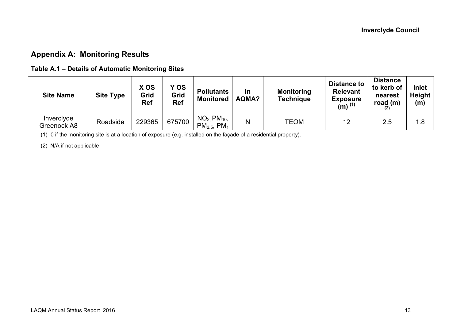## **Appendix A: Monitoring Results**

### **Table A.1 – Details of Automatic Monitoring Sites**

| <b>Site Name</b>          | <b>Site Type</b> | X OS<br>Grid<br><b>Ref</b> | Y OS<br>Grid<br><b>Ref</b> | <b>Pollutants</b><br><b>Monitored</b>            | In<br>AQMA? | <b>Monitoring</b><br>Technique | <b>Distance to</b><br><b>Relevant</b><br><b>Exposure</b><br>$(m)$ <sup>(1)</sup> | <b>Distance</b><br>to kerb of<br>nearest<br>road $(m)$ | Inlet<br><b>Height</b><br>(m) |
|---------------------------|------------------|----------------------------|----------------------------|--------------------------------------------------|-------------|--------------------------------|----------------------------------------------------------------------------------|--------------------------------------------------------|-------------------------------|
| Inverclyde<br>Greenock A8 | Roadside         | 229365                     | 675700                     | $NO2$ , $PM10$ ,<br>$PM_{2.5}$ , PM <sub>1</sub> | N           | <b>TEOM</b>                    | 12                                                                               | 2.5                                                    | 1.8                           |

(1) 0 if the monitoring site is at a location of exposure (e.g. installed on the façade of a residential property).

(2) N/A if not applicable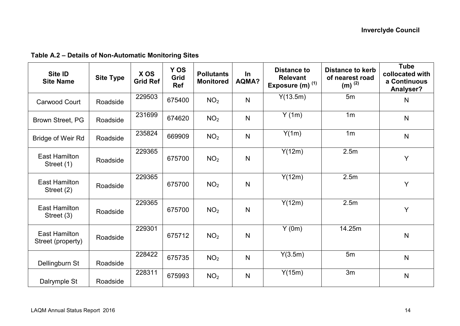| Site ID<br><b>Site Name</b>               | <b>Site Type</b> | X OS<br><b>Grid Ref</b> | Y OS<br>Grid<br><b>Ref</b> | <b>Pollutants</b><br><b>Monitored</b> | $\ln$<br><b>AQMA?</b> | <b>Distance to</b><br><b>Relevant</b><br>Exposure (m) $(1)$ | <b>Distance to kerb</b><br>of nearest road<br>$(m)^{(2)}$ | <b>Tube</b><br>collocated with<br>a Continuous<br>Analyser? |
|-------------------------------------------|------------------|-------------------------|----------------------------|---------------------------------------|-----------------------|-------------------------------------------------------------|-----------------------------------------------------------|-------------------------------------------------------------|
| <b>Carwood Court</b>                      | Roadside         | 229503                  | 675400                     | NO <sub>2</sub>                       | $\mathsf{N}$          | Y(13.5m)                                                    | 5m                                                        | $\mathsf{N}$                                                |
| Brown Street, PG                          | Roadside         | 231699                  | 674620                     | NO <sub>2</sub>                       | N                     | Y(1m)                                                       | 1 <sub>m</sub>                                            | $\mathsf{N}$                                                |
| Bridge of Weir Rd                         | Roadside         | 235824                  | 669909                     | NO <sub>2</sub>                       | N                     | Y(1m)                                                       | 1 <sub>m</sub>                                            | $\mathsf{N}$                                                |
| <b>East Hamilton</b><br>Street (1)        | Roadside         | 229365                  | 675700                     | NO <sub>2</sub>                       | N                     | Y(12m)                                                      | 2.5m                                                      | Y                                                           |
| <b>East Hamilton</b><br>Street (2)        | Roadside         | 229365                  | 675700                     | NO <sub>2</sub>                       | N                     | Y(12m)                                                      | 2.5m                                                      | Y                                                           |
| <b>East Hamilton</b><br>Street (3)        | Roadside         | 229365                  | 675700                     | NO <sub>2</sub>                       | $\mathsf{N}$          | Y(12m)                                                      | 2.5m                                                      | Y                                                           |
| <b>East Hamilton</b><br>Street (property) | Roadside         | 229301                  | 675712                     | NO <sub>2</sub>                       | N                     | Y(0m)                                                       | 14.25m                                                    | $\mathsf{N}$                                                |
| Dellingburn St                            | Roadside         | 228422                  | 675735                     | NO <sub>2</sub>                       | N                     | Y(3.5m)                                                     | 5m                                                        | $\mathsf{N}$                                                |
| Dalrymple St                              | Roadside         | 228311                  | 675993                     | NO <sub>2</sub>                       | N                     | Y(15m)                                                      | 3m                                                        | $\mathsf{N}$                                                |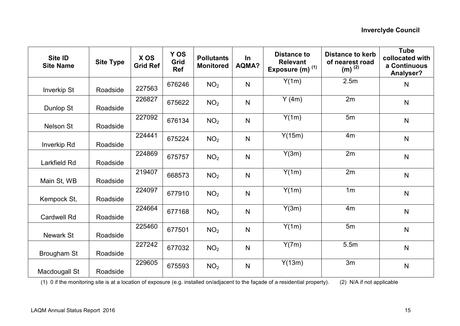| Site ID<br><b>Site Name</b> | <b>Site Type</b> | X OS<br><b>Grid Ref</b> | Y OS<br>Grid<br><b>Ref</b> | <b>Pollutants</b><br><b>Monitored</b> | In<br><b>AQMA?</b> | <b>Distance to</b><br><b>Relevant</b><br>Exposure (m) <sup>(1)</sup> | <b>Distance to kerb</b><br>of nearest road<br>$(m)^{(2)}$ | <b>Tube</b><br>collocated with<br>a Continuous<br>Analyser? |
|-----------------------------|------------------|-------------------------|----------------------------|---------------------------------------|--------------------|----------------------------------------------------------------------|-----------------------------------------------------------|-------------------------------------------------------------|
| <b>Inverkip St</b>          | Roadside         | 227563                  | 676246                     | NO <sub>2</sub>                       | $\mathsf{N}$       | Y(1m)                                                                | 2.5m                                                      | N                                                           |
| Dunlop St                   | Roadside         | 226827                  | 675622                     | NO <sub>2</sub>                       | $\mathsf{N}$       | Y(4m)                                                                | 2m                                                        | $\mathsf{N}$                                                |
| Nelson St                   | Roadside         | 227092                  | 676134                     | NO <sub>2</sub>                       | $\mathsf{N}$       | Y(1m)                                                                | 5m                                                        | $\mathsf{N}$                                                |
| <b>Inverkip Rd</b>          | Roadside         | 224441                  | 675224                     | NO <sub>2</sub>                       | $\mathsf{N}$       | Y(15m)                                                               | 4 <sub>m</sub>                                            | $\mathsf{N}$                                                |
| <b>Larkfield Rd</b>         | Roadside         | 224869                  | 675757                     | NO <sub>2</sub>                       | $\mathsf{N}$       | Y(3m)                                                                | 2m                                                        | $\mathsf{N}$                                                |
| Main St, WB                 | Roadside         | 219407                  | 668573                     | NO <sub>2</sub>                       | $\mathsf{N}$       | Y(1m)                                                                | 2m                                                        | $\mathsf{N}$                                                |
| Kempock St,                 | Roadside         | 224097                  | 677910                     | NO <sub>2</sub>                       | $\mathsf{N}$       | Y(1m)                                                                | 1 <sub>m</sub>                                            | $\mathsf{N}$                                                |
| <b>Cardwell Rd</b>          | Roadside         | 224664                  | 677168                     | NO <sub>2</sub>                       | $\mathsf{N}$       | Y(3m)                                                                | 4m                                                        | $\mathsf{N}$                                                |
| <b>Newark St</b>            | Roadside         | 225460                  | 677501                     | NO <sub>2</sub>                       | $\mathsf{N}$       | Y(1m)                                                                | 5m                                                        | $\mathsf{N}$                                                |
| Brougham St                 | Roadside         | 227242                  | 677032                     | NO <sub>2</sub>                       | $\mathsf{N}$       | Y(7m)                                                                | 5.5m                                                      | $\mathsf{N}$                                                |
| Macdougall St               | Roadside         | 229605                  | 675593                     | NO <sub>2</sub>                       | $\mathsf{N}$       | Y(13m)                                                               | 3m                                                        | $\mathsf{N}$                                                |

(1) 0 if the monitoring site is at a location of exposure (e.g. installed on/adjacent to the façade of a residential property). (2) N/A if not applicable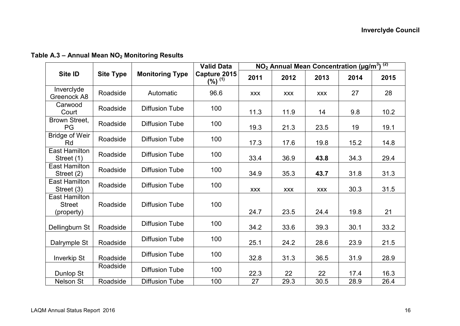|                                              |                  |                        | <b>Valid Data</b>           | $NO2$ Annual Mean Concentration (µg/m <sup>3</sup> ) <sup>(2)</sup> |            |            |      |      |
|----------------------------------------------|------------------|------------------------|-----------------------------|---------------------------------------------------------------------|------------|------------|------|------|
| Site ID                                      | <b>Site Type</b> | <b>Monitoring Type</b> | Capture 2015<br>$(%)^{(1)}$ | 2011                                                                | 2012       | 2013       | 2014 | 2015 |
| Inverclyde<br>Greenock A8                    | Roadside         | Automatic              | 96.6                        | <b>XXX</b>                                                          | <b>XXX</b> | <b>XXX</b> | 27   | 28   |
| Carwood<br>Court                             | Roadside         | <b>Diffusion Tube</b>  | 100                         | 11.3                                                                | 11.9       | 14         | 9.8  | 10.2 |
| Brown Street,<br>PG                          | Roadside         | <b>Diffusion Tube</b>  | 100                         | 19.3                                                                | 21.3       | 23.5       | 19   | 19.1 |
| <b>Bridge of Weir</b><br>Rd                  | Roadside         | <b>Diffusion Tube</b>  | 100                         | 17.3                                                                | 17.6       | 19.8       | 15.2 | 14.8 |
| <b>East Hamilton</b><br>Street (1)           | Roadside         | <b>Diffusion Tube</b>  | 100                         | 33.4                                                                | 36.9       | 43.8       | 34.3 | 29.4 |
| East Hamilton<br>Street (2)                  | Roadside         | <b>Diffusion Tube</b>  | 100                         | 34.9                                                                | 35.3       | 43.7       | 31.8 | 31.3 |
| <b>East Hamilton</b><br>Street (3)           | Roadside         | <b>Diffusion Tube</b>  | 100                         | <b>XXX</b>                                                          | <b>XXX</b> | <b>XXX</b> | 30.3 | 31.5 |
| East Hamilton<br><b>Street</b><br>(property) | Roadside         | <b>Diffusion Tube</b>  | 100                         | 24.7                                                                | 23.5       | 24.4       | 19.8 | 21   |
| Dellingburn St                               | Roadside         | <b>Diffusion Tube</b>  | 100                         | 34.2                                                                | 33.6       | 39.3       | 30.1 | 33.2 |
| Dalrymple St                                 | Roadside         | <b>Diffusion Tube</b>  | 100                         | 25.1                                                                | 24.2       | 28.6       | 23.9 | 21.5 |
| <b>Inverkip St</b>                           | Roadside         | Diffusion Tube         | 100                         | 32.8                                                                | 31.3       | 36.5       | 31.9 | 28.9 |
| Dunlop St                                    | Roadside         | <b>Diffusion Tube</b>  | 100                         | 22.3                                                                | 22         | 22         | 17.4 | 16.3 |
| <b>Nelson St</b>                             | Roadside         | <b>Diffusion Tube</b>  | 100                         | 27                                                                  | 29.3       | 30.5       | 28.9 | 26.4 |

**Table A.3 – Annual Mean NO2 Monitoring Results**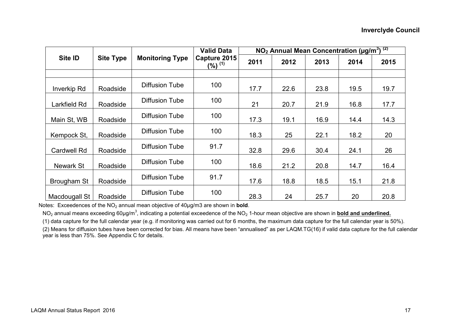|                    |                  |                        | <b>Valid Data</b>           | NO <sub>2</sub> Annual Mean Concentration (µg/m <sup>3</sup> ) <sup>(2)</sup> |      |      |      |      |
|--------------------|------------------|------------------------|-----------------------------|-------------------------------------------------------------------------------|------|------|------|------|
| Site <b>ID</b>     | <b>Site Type</b> | <b>Monitoring Type</b> | Capture 2015<br>$(%)^{(1)}$ | 2011                                                                          | 2012 | 2013 | 2014 | 2015 |
|                    |                  |                        |                             |                                                                               |      |      |      |      |
| Inverkip Rd        | Roadside         | Diffusion Tube         | 100                         | 17.7                                                                          | 22.6 | 23.8 | 19.5 | 19.7 |
| Larkfield Rd       | Roadside         | <b>Diffusion Tube</b>  | 100                         | 21                                                                            | 20.7 | 21.9 | 16.8 | 17.7 |
| Main St, WB        | Roadside         | Diffusion Tube         | 100                         | 17.3                                                                          | 19.1 | 16.9 | 14.4 | 14.3 |
| Kempock St.        | Roadside         | Diffusion Tube         | 100                         | 18.3                                                                          | 25   | 22.1 | 18.2 | 20   |
| <b>Cardwell Rd</b> | Roadside         | <b>Diffusion Tube</b>  | 91.7                        | 32.8                                                                          | 29.6 | 30.4 | 24.1 | 26   |
| Newark St          | Roadside         | Diffusion Tube         | 100                         | 18.6                                                                          | 21.2 | 20.8 | 14.7 | 16.4 |
| Brougham St        | Roadside         | Diffusion Tube         | 91.7                        | 17.6                                                                          | 18.8 | 18.5 | 15.1 | 21.8 |
| Macdougall St      | Roadside         | Diffusion Tube         | 100                         | 28.3                                                                          | 24   | 25.7 | 20   | 20.8 |

Notes: Exceedences of the NO<sub>2</sub> annual mean objective of 40µg/m3 are shown in **bold**.

NO<sub>2</sub> annual means exceeding 60µg/m<sup>3</sup>, indicating a potential exceedence of the NO<sub>2</sub> 1-hour mean objective are shown in bold and underlined.

(1) data capture for the full calendar year (e.g. if monitoring was carried out for 6 months, the maximum data capture for the full calendar year is 50%).

(2) Means for diffusion tubes have been corrected for bias. All means have been "annualised" as per LAQM.TG(16) if valid data capture for the full calendar year is less than 75%. See Appendix C for details.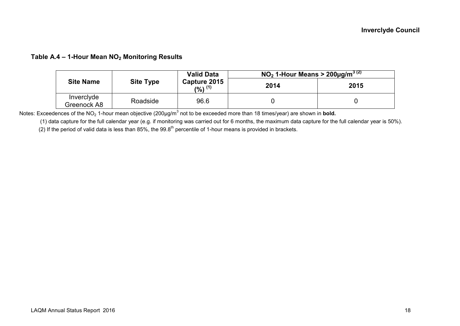#### **Table A.4 – 1-Hour Mean NO2 Monitoring Results**

|                           |                  | <b>Valid Data</b>             | NO <sub>2</sub> 1-Hour Means > 200µg/m <sup>3 (2)</sup> |      |  |
|---------------------------|------------------|-------------------------------|---------------------------------------------------------|------|--|
| <b>Site Name</b>          | <b>Site Type</b> | Capture 2015<br>$(9/6)$ $(1)$ | 2014                                                    | 2015 |  |
| Invercivde<br>Greenock A8 | Roadside         | 96.6                          |                                                         |      |  |

Notes: Exceedences of the NO<sub>2</sub> 1-hour mean objective (200µg/m<sup>3</sup> not to be exceeded more than 18 times/year) are shown in **bold.** 

(1) data capture for the full calendar year (e.g. if monitoring was carried out for 6 months, the maximum data capture for the full calendar year is 50%).

(2) If the period of valid data is less than 85%, the 99.8<sup>th</sup> percentile of 1-hour means is provided in brackets.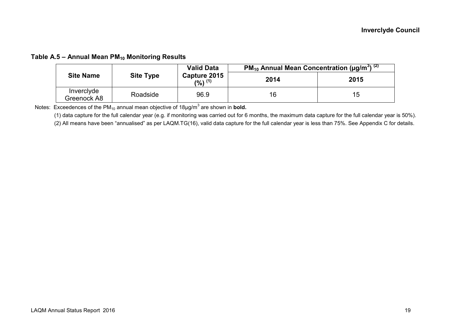#### **Table A.5 – Annual Mean PM10 Monitoring Results**

| <b>Site Name</b>          |                  | <b>Valid Data</b>             | <b>PM</b> <sub>10</sub> Annual Mean Concentration $\overline{(µq/m^3)}^{(2)}$ |      |  |
|---------------------------|------------------|-------------------------------|-------------------------------------------------------------------------------|------|--|
|                           | <b>Site Type</b> | Capture 2015<br>$(9/6)$ $(1)$ | 2014                                                                          | 2015 |  |
| Inverclyde<br>Greenock A8 | Roadside         | 96.9                          | 16                                                                            | 15   |  |

Notes: Exceedences of the  $PM_{10}$  annual mean objective of  $18\mu g/m^3$  are shown in **bold.** 

(1) data capture for the full calendar year (e.g. if monitoring was carried out for 6 months, the maximum data capture for the full calendar year is 50%).

(2) All means have been "annualised" as per LAQM.TG(16), valid data capture for the full calendar year is less than 75%. See Appendix C for details.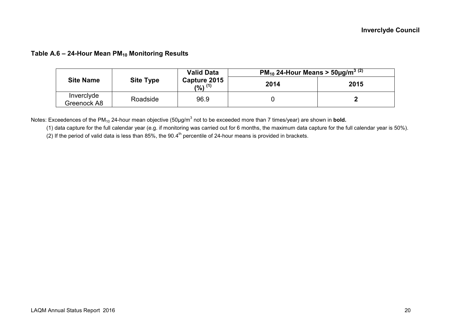#### **Table A.6 – 24-Hour Mean PM10 Monitoring Results**

|                           |                  | <b>Valid Data</b>           | <b>PM</b> <sub>10</sub> 24-Hour Means $>$ 50µg/m <sup>3 (2)</sup> |      |  |  |  |  |
|---------------------------|------------------|-----------------------------|-------------------------------------------------------------------|------|--|--|--|--|
| <b>Site Name</b>          | <b>Site Type</b> | Capture 2015<br>$(%)^{(1)}$ | 2014                                                              | 2015 |  |  |  |  |
| Inverclyde<br>Greenock A8 | Roadside         | 96.9                        |                                                                   |      |  |  |  |  |

Notes: Exceedences of the PM<sub>10</sub> 24-hour mean objective (50µg/m<sup>3</sup> not to be exceeded more than 7 times/year) are shown in **bold.** 

(1) data capture for the full calendar year (e.g. if monitoring was carried out for 6 months, the maximum data capture for the full calendar year is 50%).

(2) If the period of valid data is less than 85%, the  $90.4<sup>th</sup>$  percentile of 24-hour means is provided in brackets.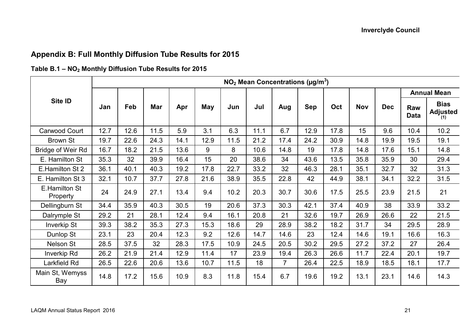## **Appendix B: Full Monthly Diffusion Tube Results for 2015**

### **Table B.1 – NO2 Monthly Diffusion Tube Results for 2015**

|                           | $NO2$ Mean Concentrations ( $\mu$ g/m <sup>3</sup> ) |      |      |      |      |      |      |                |            |      |            |            |                    |                                       |
|---------------------------|------------------------------------------------------|------|------|------|------|------|------|----------------|------------|------|------------|------------|--------------------|---------------------------------------|
|                           | Jan                                                  | Feb  | Mar  | Apr  | May  | Jun  | Jul  | Aug            | <b>Sep</b> | Oct  | <b>Nov</b> | <b>Dec</b> | <b>Annual Mean</b> |                                       |
| Site ID                   |                                                      |      |      |      |      |      |      |                |            |      |            |            | Raw<br><b>Data</b> | <b>Bias</b><br><b>Adjusted</b><br>(1) |
| Carwood Court             | 12.7                                                 | 12.6 | 11.5 | 5.9  | 3.1  | 6.3  | 11.1 | 6.7            | 12.9       | 17.8 | 15         | 9.6        | 10.4               | 10.2                                  |
| <b>Brown St</b>           | 19.7                                                 | 22.6 | 24.3 | 14.1 | 12.9 | 11.5 | 21.2 | 17.4           | 24.2       | 30.9 | 14.8       | 19.9       | 19.5               | 19.1                                  |
| <b>Bridge of Weir Rd</b>  | 16.7                                                 | 18.2 | 21.5 | 13.6 | 9    | 8    | 10.6 | 14.8           | 19         | 17.8 | 14.8       | 17.6       | 15.1               | 14.8                                  |
| E. Hamilton St            | 35.3                                                 | 32   | 39.9 | 16.4 | 15   | 20   | 38.6 | 34             | 43.6       | 13.5 | 35.8       | 35.9       | 30                 | 29.4                                  |
| E.Hamilton St 2           | 36.1                                                 | 40.1 | 40.3 | 19.2 | 17.8 | 22.7 | 33.2 | 32             | 46.3       | 28.1 | 35.1       | 32.7       | 32                 | 31.3                                  |
| E. Hamilton St 3          | 32.1                                                 | 10.7 | 37.7 | 27.8 | 21.6 | 38.9 | 35.5 | 22.8           | 42         | 44.9 | 38.1       | 34.1       | 32.2               | 31.5                                  |
| E.Hamilton St<br>Property | 24                                                   | 24.9 | 27.1 | 13.4 | 9.4  | 10.2 | 20.3 | 30.7           | 30.6       | 17.5 | 25.5       | 23.9       | 21.5               | 21                                    |
| Dellingburn St            | 34.4                                                 | 35.9 | 40.3 | 30.5 | 19   | 20.6 | 37.3 | 30.3           | 42.1       | 37.4 | 40.9       | 38         | 33.9               | 33.2                                  |
| Dalrymple St              | 29.2                                                 | 21   | 28.1 | 12.4 | 9.4  | 16.1 | 20.8 | 21             | 32.6       | 19.7 | 26.9       | 26.6       | 22                 | 21.5                                  |
| <b>Inverkip St</b>        | 39.3                                                 | 38.2 | 35.3 | 27.3 | 15.3 | 18.6 | 29   | 28.9           | 38.2       | 18.2 | 31.7       | 34         | 29.5               | 28.9                                  |
| Dunlop St                 | 23.1                                                 | 23   | 20.4 | 12.3 | 9.2  | 12.6 | 14.7 | 14.6           | 23         | 12.4 | 14.6       | 19.1       | 16.6               | 16.3                                  |
| Nelson St                 | 28.5                                                 | 37.5 | 32   | 28.3 | 17.5 | 10.9 | 24.5 | 20.5           | 30.2       | 29.5 | 27.2       | 37.2       | 27                 | 26.4                                  |
| Inverkip Rd               | 26.2                                                 | 21.9 | 21.4 | 12.9 | 11.4 | 17   | 23.9 | 19.4           | 26.3       | 26.6 | 11.7       | 22.4       | 20.1               | 19.7                                  |
| Larkfield Rd              | 26.5                                                 | 22.6 | 20.6 | 13.6 | 10.7 | 11.5 | 18   | $\overline{7}$ | 26.4       | 22.5 | 18.9       | 18.5       | 18.1               | 17.7                                  |
| Main St, Wemyss<br>Bay    | 14.8                                                 | 17.2 | 15.6 | 10.9 | 8.3  | 11.8 | 15.4 | 6.7            | 19.6       | 19.2 | 13.1       | 23.1       | 14.6               | 14.3                                  |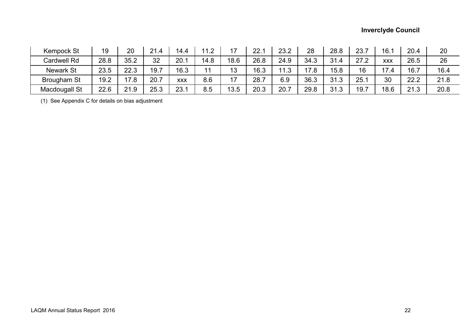### **Inverclyde Council**

| <b>Kempock St</b> | 19   | 20   | 21.4 | 14.4       | 11 2 |      | 22.1 | 23.2 | 28   | 28.8 | 23.7 | 16.1       | 20.4 | 20   |
|-------------------|------|------|------|------------|------|------|------|------|------|------|------|------------|------|------|
| Cardwell Rd       | 28.8 | 35.2 | 32   | 20.1       | 14.8 | 18.6 | 26.8 | 24.9 | 34.3 | 31.4 | 27.2 | <b>XXX</b> | 26.5 | 26   |
| <b>Newark St</b>  | 23.5 | 22.3 | 19.7 | 16.3       | 11   | 13   | 16.3 | 11 ? | 17.8 | 15.8 | 16   | 17.4       | 16.7 | 16.4 |
| Brougham St       | 19.2 | 17.8 | 20.7 | <b>XXX</b> | 8.6  | 17   | 28.7 | 6.9  | 36.3 | 31.3 | 25.1 | 30         | 22.2 | 21.8 |
| Macdougall St     | 22.6 | 21.9 | 25.3 | 23.1       | 8.5  | 13.5 | 20.3 | 20.7 | 29.8 | 31.3 | 19.7 | 18.6       | 21.3 | 20.8 |

(1) See Appendix C for details on bias adjustment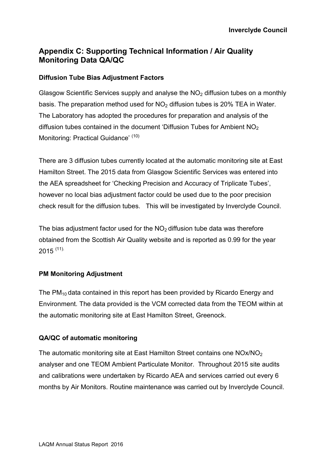## **Appendix C: Supporting Technical Information / Air Quality Monitoring Data QA/QC**

### **Diffusion Tube Bias Adjustment Factors**

Glasgow Scientific Services supply and analyse the  $NO<sub>2</sub>$  diffusion tubes on a monthly basis. The preparation method used for  $NO<sub>2</sub>$  diffusion tubes is 20% TEA in Water. The Laboratory has adopted the procedures for preparation and analysis of the diffusion tubes contained in the document 'Diffusion Tubes for Ambient  $NO<sub>2</sub>$ Monitoring: Practical Guidance' (10)

There are 3 diffusion tubes currently located at the automatic monitoring site at East Hamilton Street. The 2015 data from Glasgow Scientific Services was entered into the AEA spreadsheet for 'Checking Precision and Accuracy of Triplicate Tubes', however no local bias adjustment factor could be used due to the poor precision check result for the diffusion tubes. This will be investigated by Inverclyde Council.

The bias adjustment factor used for the  $NO<sub>2</sub>$  diffusion tube data was therefore obtained from the Scottish Air Quality website and is reported as 0.99 for the year  $2015$   $(11)$ .

### **PM Monitoring Adjustment**

The  $PM_{10}$  data contained in this report has been provided by Ricardo Energy and Environment. The data provided is the VCM corrected data from the TEOM within at the automatic monitoring site at East Hamilton Street, Greenock.

### **QA/QC of automatic monitoring**

The automatic monitoring site at East Hamilton Street contains one NOx/NO<sub>2</sub> analyser and one TEOM Ambient Particulate Monitor. Throughout 2015 site audits and calibrations were undertaken by Ricardo AEA and services carried out every 6 months by Air Monitors. Routine maintenance was carried out by Inverclyde Council.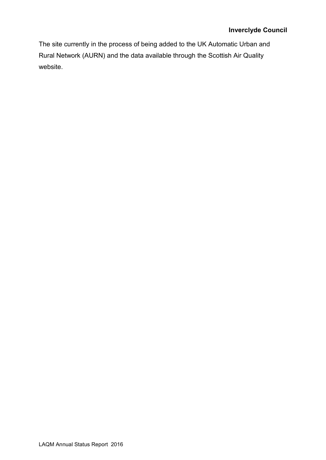The site currently in the process of being added to the UK Automatic Urban and Rural Network (AURN) and the data available through the Scottish Air Quality website.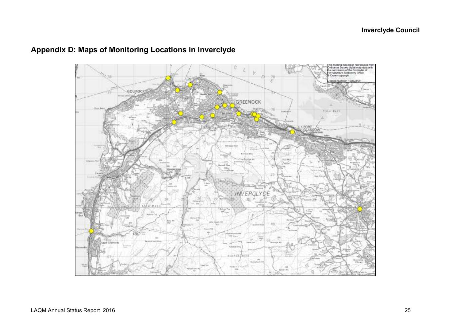

## **Appendix D: Maps of Monitoring Locations in Inverclyde**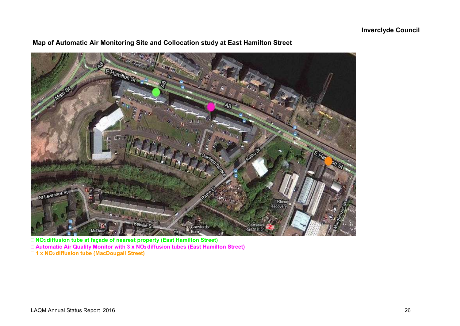

## **Map of Automatic Air Monitoring Site and Collocation study at East Hamilton Street**

 **NO2 diffusion tube at façade of nearest property (East Hamilton Street) Automatic Air Quality Monitor with 3 x NO2 diffusion tubes (East Hamilton Street) 1 x NO2 diffusion tube (MacDougall Street)**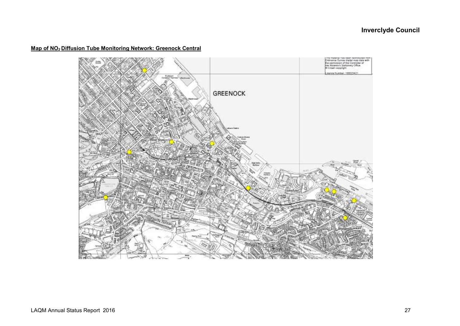#### **Map of NO2 Diffusion Tube Monitoring Network: Greenock Central**

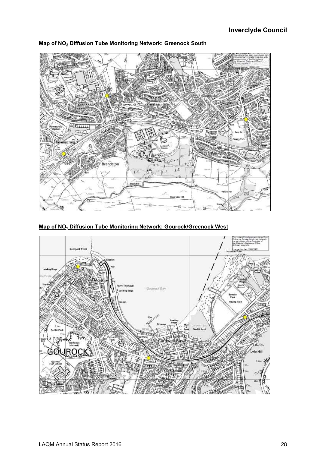

**Map of NO2 Diffusion Tube Monitoring Network: Greenock South** 

**Map of NO2 Diffusion Tube Monitoring Network: Gourock/Greenock West** 

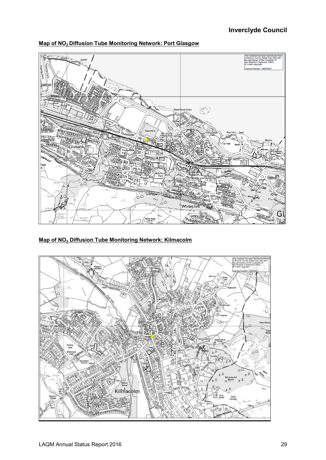



**Map of NO2 Diffusion Tube Monitoring Network: Kilmacolm** 

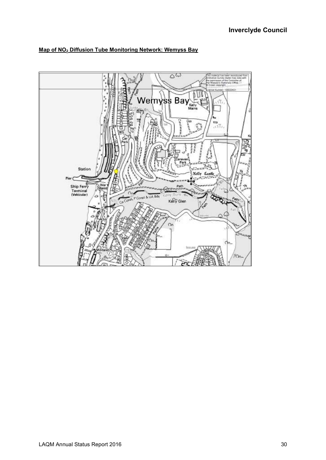

#### **Map of NO2 Diffusion Tube Monitoring Network: Wemyss Bay**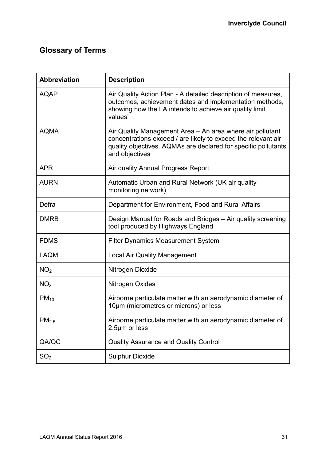# **Glossary of Terms**

| <b>Abbreviation</b> | <b>Description</b>                                                                                                                                                                                             |
|---------------------|----------------------------------------------------------------------------------------------------------------------------------------------------------------------------------------------------------------|
| <b>AQAP</b>         | Air Quality Action Plan - A detailed description of measures,<br>outcomes, achievement dates and implementation methods,<br>showing how the LA intends to achieve air quality limit<br>values'                 |
| <b>AQMA</b>         | Air Quality Management Area - An area where air pollutant<br>concentrations exceed / are likely to exceed the relevant air<br>quality objectives. AQMAs are declared for specific pollutants<br>and objectives |
| <b>APR</b>          | Air quality Annual Progress Report                                                                                                                                                                             |
| <b>AURN</b>         | Automatic Urban and Rural Network (UK air quality<br>monitoring network)                                                                                                                                       |
| Defra               | Department for Environment, Food and Rural Affairs                                                                                                                                                             |
| <b>DMRB</b>         | Design Manual for Roads and Bridges - Air quality screening<br>tool produced by Highways England                                                                                                               |
| <b>FDMS</b>         | Filter Dynamics Measurement System                                                                                                                                                                             |
| <b>LAQM</b>         | <b>Local Air Quality Management</b>                                                                                                                                                                            |
| NO <sub>2</sub>     | Nitrogen Dioxide                                                                                                                                                                                               |
| NO <sub>x</sub>     | Nitrogen Oxides                                                                                                                                                                                                |
| $PM_{10}$           | Airborne particulate matter with an aerodynamic diameter of<br>10µm (micrometres or microns) or less                                                                                                           |
| PM <sub>2.5</sub>   | Airborne particulate matter with an aerodynamic diameter of<br>2.5µm or less                                                                                                                                   |
| QA/QC               | <b>Quality Assurance and Quality Control</b>                                                                                                                                                                   |
| SO <sub>2</sub>     | <b>Sulphur Dioxide</b>                                                                                                                                                                                         |